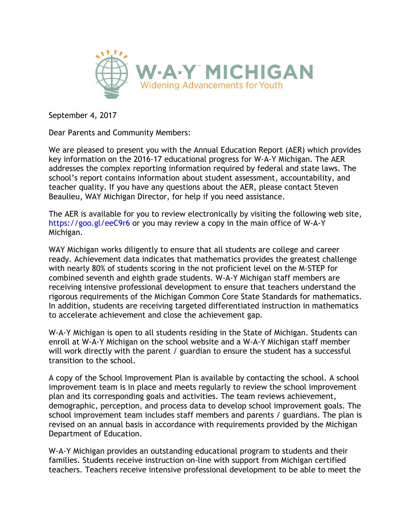

September 4, 2017

Dear Parents and Community Members:

We are pleased to present you with the Annual Education Report (AER) which provides key information on the 2016-17 educational progress for W-A-Y Michigan. The AER addresses the complex reporting information required by federal and state laws. The school's report contains information about student assessment, accountability, and teacher quality. If you have any questions about the AER, please contact Steven Beaulieu, WAY Michigan Director, for help if you need assistance.

The AER is available for you to review electronically by visiting the following web site, https://goo.gl/eeC9r6 or you may review a copy in the main office of W-A-Y Michigan.

WAY Michigan works diligently to ensure that all students are college and career ready. Achievement data indicates that mathematics provides the greatest challenge with nearly 80% of students scoring in the not proficient level on the M-STEP for combined seventh and eighth grade students. W-A-Y Michigan staff members are receiving intensive professional development to ensure that teachers understand the rigorous requirements of the Michigan Common Core State Standards for mathematics. In addition, students are receiving targeted differentiated instruction in mathematics to accelerate achievement and close the achievement gap.

W-A-Y Michigan is open to all students residing in the State of Michigan. Students can enroll at W-A-Y Michigan on the school website and a W-A-Y Michigan staff member will work directly with the parent / guardian to ensure the student has a successful transition to the school.

A copy of the School Improvement Plan is available by contacting the school. A school improvement team is in place and meets regularly to review the school improvement plan and its corresponding goals and activities. The team reviews achievement, demographic, perception, and process data to develop school improvement goals. The school improvement team includes staff members and parents / guardians. The plan is revised on an annual basis in accordance with requirements provided by the Michigan Department of Education.

W-A-Y Michigan provides an outstanding educational program to students and their families. Students receive instruction on-line with support from Michigan certified teachers. Teachers receive intensive professional development to be able to meet the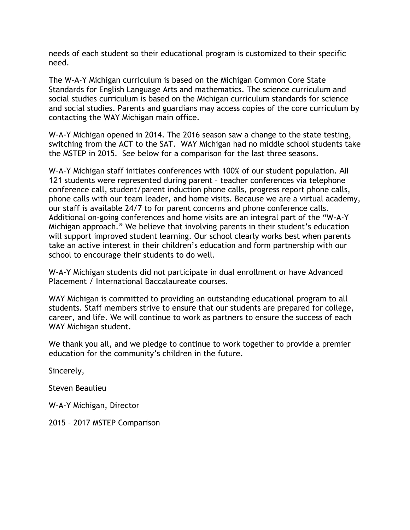needs of each student so their educational program is customized to their specific need.

The W-A-Y Michigan curriculum is based on the Michigan Common Core State Standards for English Language Arts and mathematics. The science curriculum and social studies curriculum is based on the Michigan curriculum standards for science and social studies. Parents and guardians may access copies of the core curriculum by contacting the WAY Michigan main office.

W-A-Y Michigan opened in 2014. The 2016 season saw a change to the state testing, switching from the ACT to the SAT. WAY Michigan had no middle school students take the MSTEP in 2015. See below for a comparison for the last three seasons.

W-A-Y Michigan staff initiates conferences with 100% of our student population. All 121 students were represented during parent – teacher conferences via telephone conference call, student/parent induction phone calls, progress report phone calls, phone calls with our team leader, and home visits. Because we are a virtual academy, our staff is available 24/7 to for parent concerns and phone conference calls. Additional on-going conferences and home visits are an integral part of the "W-A-Y Michigan approach." We believe that involving parents in their student's education will support improved student learning. Our school clearly works best when parents take an active interest in their children's education and form partnership with our school to encourage their students to do well.

W-A-Y Michigan students did not participate in dual enrollment or have Advanced Placement / International Baccalaureate courses.

WAY Michigan is committed to providing an outstanding educational program to all students. Staff members strive to ensure that our students are prepared for college, career, and life. We will continue to work as partners to ensure the success of each WAY Michigan student.

We thank you all, and we pledge to continue to work together to provide a premier education for the community's children in the future.

Sincerely,

Steven Beaulieu

W-A-Y Michigan, Director

2015 – 2017 MSTEP Comparison